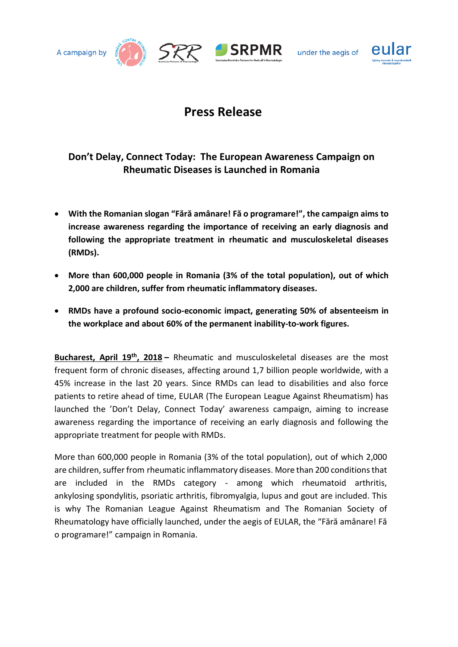



SRR SRPMR

under the aegis of



## **Press Release**

## **Don't Delay, Connect Today: The European Awareness Campaign on Rheumatic Diseases is Launched in Romania**

- **With the Romanian slogan "Fără amânare! Fă o programare!", the campaign aims to increase awareness regarding the importance of receiving an early diagnosis and following the appropriate treatment in rheumatic and musculoskeletal diseases (RMDs).**
- **More than 600,000 people in Romania (3% of the total population), out of which 2,000 are children, suffer from rheumatic inflammatory diseases.**
- **RMDs have a profound socio-economic impact, generating 50% of [absenteeism](http://hallo.ro/dictionar-englez-roman/absenteeism) in the workplace and about 60% of the permanent inability-to-work figures.**

**Bucharest, April 19th , 2018 –** Rheumatic and musculoskeletal diseases are the most frequent form of chronic diseases, affecting around 1,7 billion people worldwide, with a 45% increase in the last 20 years. Since RMDs can lead to disabilities and also force patients to retire ahead of time, EULAR (The European League Against Rheumatism) has launched the 'Don't Delay, Connect Today' awareness campaign, aiming to increase awareness regarding the importance of receiving an early diagnosis and following the appropriate treatment for people with RMDs.

More than 600,000 people in Romania (3% of the total population), out of which 2,000 are children, suffer from rheumatic inflammatory diseases. More than 200 conditionsthat are included in the RMDs category - among which rheumatoid arthritis, ankylosing spondylitis, psoriatic arthritis, fibromyalgia, lupus and gout are included. This is why The Romanian League Against Rheumatism and The Romanian Society of Rheumatology have officially launched, under the aegis of EULAR, the "Fără amânare! Fă o programare!" campaign in Romania.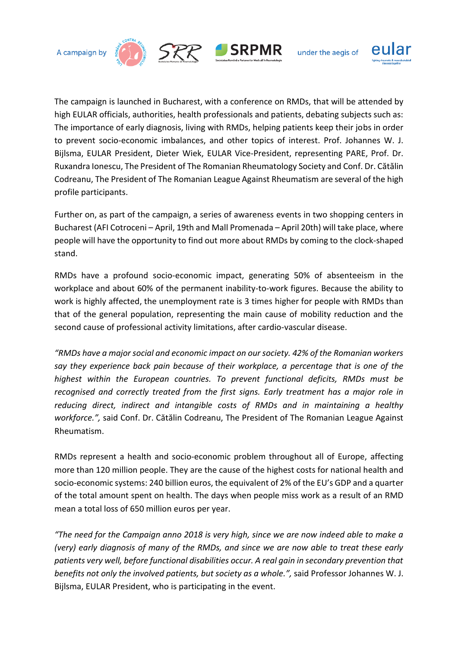





under the aegis of



The campaign is launched in Bucharest, with a conference on RMDs, that will be attended by high EULAR officials, authorities, health professionals and patients, debating subjects such as: The importance of early diagnosis, living with RMDs, helping patients keep their jobs in order to prevent socio-economic imbalances, and other topics of interest. Prof. Johannes W. J. Bijlsma, EULAR President, Dieter Wiek, EULAR Vice-President, representing PARE, Prof. Dr. Ruxandra Ionescu, The President of The Romanian Rheumatology Society and Conf. Dr. Cătălin Codreanu, The President of The Romanian League Against Rheumatism are several of the high profile participants.

Further on, as part of the campaign, a series of awareness events in two shopping centers in Bucharest (AFI Cotroceni – April, 19th and Mall Promenada – April 20th) will take place, where people will have the opportunity to find out more about RMDs by coming to the clock-shaped stand.

RMDs have a profound socio-economic impact, generating 50% of [absenteeism](http://hallo.ro/dictionar-englez-roman/absenteeism) in the workplace and about 60% of the permanent inability-to-work figures. Because the ability to work is highly affected, the unemployment rate is 3 times higher for people with RMDs than that of the general population, representing the main cause of mobility reduction and the second cause of professional activity limitations, after cardio-vascular disease.

*"RMDs have a major social and economic impact on our society. 42% of the Romanian workers say they experience back pain because of their workplace, a percentage that is one of the highest within the European countries. To prevent functional deficits, RMDs must be recognised and correctly treated from the first signs. Early treatment has a major role in reducing direct, indirect and intangible costs of RMDs and in maintaining a healthy workforce.",* said Conf. Dr. Cătălin Codreanu, The President of The Romanian League Against Rheumatism.

RMDs represent a health and socio-economic problem throughout all of Europe, affecting more than 120 million people. They are the cause of the highest costs for national health and socio-economic systems: 240 billion euros, the equivalent of 2% of the EU's GDP and a quarter of the total amount spent on health. The days when people miss work as a result of an RMD mean a total loss of 650 million euros per year.

*"The need for the Campaign anno 2018 is very high, since we are now indeed able to make a (very) early diagnosis of many of the RMDs, and since we are now able to treat these early patients very well, before functional disabilities occur. A real gain in secondary prevention that benefits not only the involved patients, but society as a whole.",* said Professor Johannes W. J. Bijlsma, EULAR President, who is participating in the event.